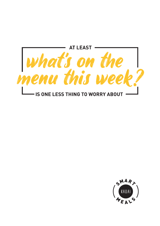